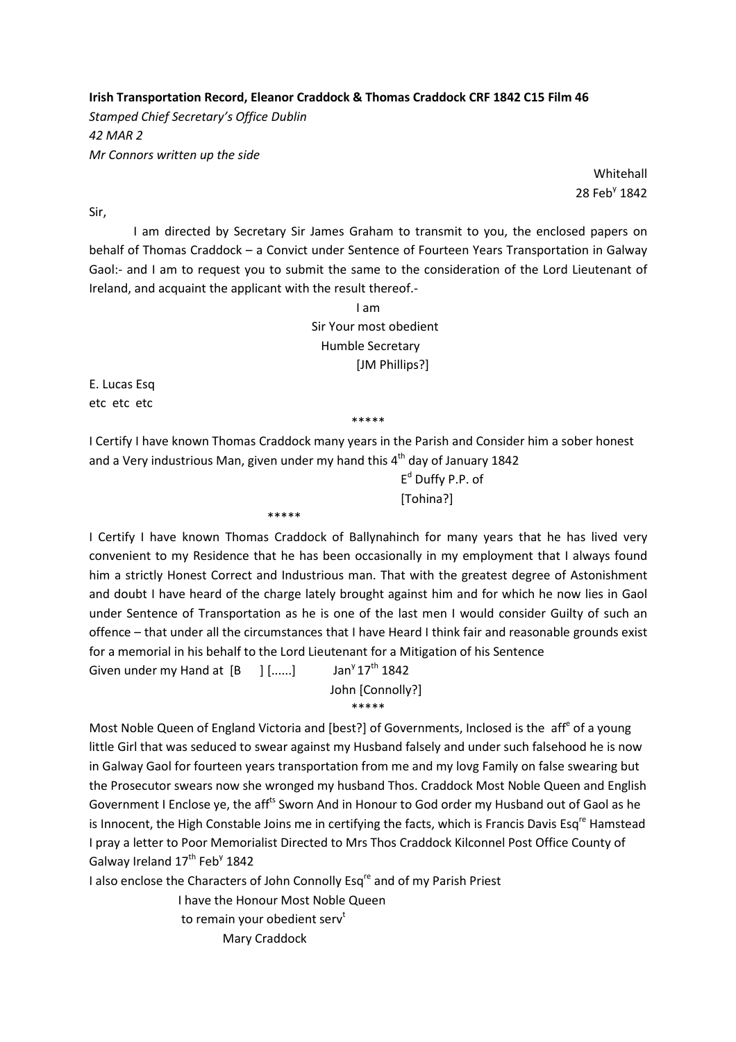Irish Transportation Record, Eleanor Craddock & Thomas Craddock CRF 1842 C15 Film 46

Stamped Chief Secretary's Office Dublin 42 MAR 2 Mr Connors written up the side

Whitehall 28 Feb<sup>y</sup> 1842

Sir,

 I am directed by Secretary Sir James Graham to transmit to you, the enclosed papers on behalf of Thomas Craddock – a Convict under Sentence of Fourteen Years Transportation in Galway Gaol:- and I am to request you to submit the same to the consideration of the Lord Lieutenant of Ireland, and acquaint the applicant with the result thereof.-

> I am Sir Your most obedient Humble Secretary [JM Phillips?]

E. Lucas Esq etc etc etc

\*\*\*\*\*

I Certify I have known Thomas Craddock many years in the Parish and Consider him a sober honest and a Very industrious Man, given under my hand this  $4<sup>th</sup>$  day of January 1842

 $E^d$  $E<sup>d</sup>$  Duffy P.P. of [Tohina?]

I Certify I have known Thomas Craddock of Ballynahinch for many years that he has lived very convenient to my Residence that he has been occasionally in my employment that I always found him a strictly Honest Correct and Industrious man. That with the greatest degree of Astonishment and doubt I have heard of the charge lately brought against him and for which he now lies in Gaol under Sentence of Transportation as he is one of the last men I would consider Guilty of such an offence – that under all the circumstances that I have Heard I think fair and reasonable grounds exist for a memorial in his behalf to the Lord Lieutenant for a Mitigation of his Sentence

Given under my Hand at  $[B \quad ]$   $[......]$  Jan<sup>y</sup>  $17<sup>th</sup>$  1842

\*\*\*\*\*

 John [Connolly?] \*\*\*\*\*

Most Noble Queen of England Victoria and [best?] of Governments, Inclosed is the aff<sup>e</sup> of a young little Girl that was seduced to swear against my Husband falsely and under such falsehood he is now in Galway Gaol for fourteen years transportation from me and my lovg Family on false swearing but the Prosecutor swears now she wronged my husband Thos. Craddock Most Noble Queen and English Government I Enclose ye, the aff<sup>ts</sup> Sworn And in Honour to God order my Husband out of Gaol as he is Innocent, the High Constable Joins me in certifying the facts, which is Francis Davis Esq<sup>re</sup> Hamstead I pray a letter to Poor Memorialist Directed to Mrs Thos Craddock Kilconnel Post Office County of Galway Ireland 17<sup>th</sup> Feb<sup>y</sup> 1842

I also enclose the Characters of John Connolly Esq<sup>re</sup> and of my Parish Priest

 I have the Honour Most Noble Queen to remain your obedient serv<sup>t</sup> Mary Craddock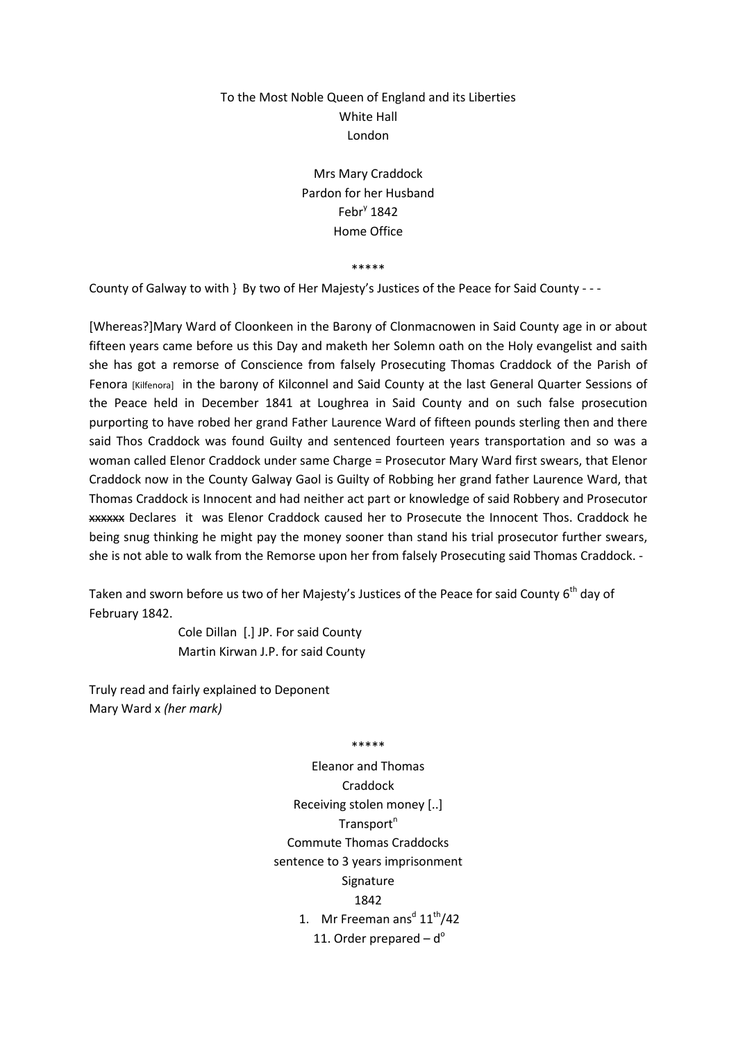## To the Most Noble Queen of England and its Liberties White Hall London

Mrs Mary Craddock Pardon for her Husband Febr $y$  1842 Home Office

\*\*\*\*\*

County of Galway to with } By two of Her Majesty's Justices of the Peace for Said County - - -

[Whereas?]Mary Ward of Cloonkeen in the Barony of Clonmacnowen in Said County age in or about fifteen years came before us this Day and maketh her Solemn oath on the Holy evangelist and saith she has got a remorse of Conscience from falsely Prosecuting Thomas Craddock of the Parish of Fenora [Kilfenora] in the barony of Kilconnel and Said County at the last General Quarter Sessions of the Peace held in December 1841 at Loughrea in Said County and on such false prosecution purporting to have robed her grand Father Laurence Ward of fifteen pounds sterling then and there said Thos Craddock was found Guilty and sentenced fourteen years transportation and so was a woman called Elenor Craddock under same Charge = Prosecutor Mary Ward first swears, that Elenor Craddock now in the County Galway Gaol is Guilty of Robbing her grand father Laurence Ward, that Thomas Craddock is Innocent and had neither act part or knowledge of said Robbery and Prosecutor xxxxxx Declares it was Elenor Craddock caused her to Prosecute the Innocent Thos. Craddock he being snug thinking he might pay the money sooner than stand his trial prosecutor further swears, she is not able to walk from the Remorse upon her from falsely Prosecuting said Thomas Craddock. -

Taken and sworn before us two of her Majesty's Justices of the Peace for said County 6<sup>th</sup> day of February 1842.

> Cole Dillan [.] JP. For said County Martin Kirwan J.P. for said County

Truly read and fairly explained to Deponent Mary Ward x (her mark)

\*\*\*\*\*

Eleanor and Thomas Craddock Receiving stolen money [..]  $Transport<sup>n</sup>$ Commute Thomas Craddocks sentence to 3 years imprisonment Signature 1842 1. Mr Freeman ans<sup>d</sup>  $11^{\text{th}}$ /42 11. Order prepared  $-d^{\circ}$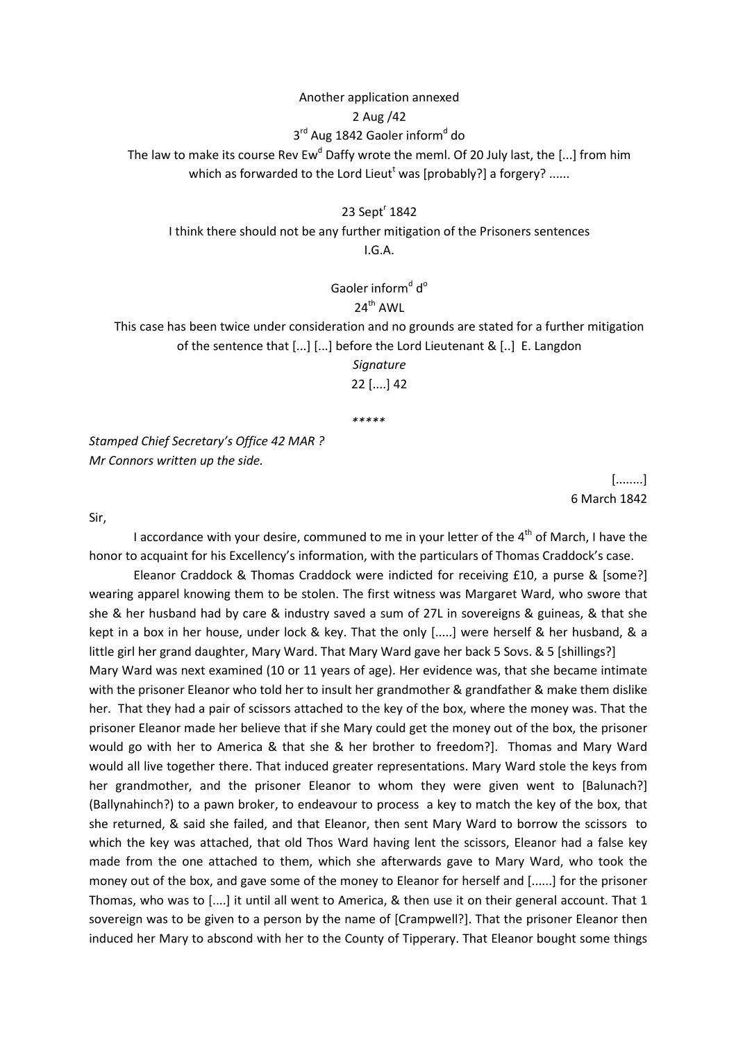## Another application annexed 2 Aug /42 3<sup>rd</sup> Aug 1842 Gaoler inform<sup>d</sup> do The law to make its course Rev Ew<sup>d</sup> Daffy wrote the meml. Of 20 July last, the [...] from him which as forwarded to the Lord Lieut<sup>t</sup> was [probably?] a forgery? ......

23 Sept<sup>r</sup> 1842

I think there should not be any further mitigation of the Prisoners sentences I.G.A.

> Gaoler inform<sup>d</sup> d<sup>o</sup>  $24^{\text{th}}$  AWI

This case has been twice under consideration and no grounds are stated for a further mitigation of the sentence that [...] [...] before the Lord Lieutenant & [..] E. Langdon

> Signature 22 [....] 42

\*\*\*\*\*

Stamped Chief Secretary's Office 42 MAR ? Mr Connors written up the side.

> [........] 6 March 1842

Sir,

I accordance with your desire, communed to me in your letter of the  $4<sup>th</sup>$  of March, I have the honor to acquaint for his Excellency's information, with the particulars of Thomas Craddock's case.

 Eleanor Craddock & Thomas Craddock were indicted for receiving £10, a purse & [some?] wearing apparel knowing them to be stolen. The first witness was Margaret Ward, who swore that she & her husband had by care & industry saved a sum of 27L in sovereigns & guineas, & that she kept in a box in her house, under lock & key. That the only [.....] were herself & her husband, & a little girl her grand daughter, Mary Ward. That Mary Ward gave her back 5 Sovs. & 5 [shillings?] Mary Ward was next examined (10 or 11 years of age). Her evidence was, that she became intimate with the prisoner Eleanor who told her to insult her grandmother & grandfather & make them dislike her. That they had a pair of scissors attached to the key of the box, where the money was. That the prisoner Eleanor made her believe that if she Mary could get the money out of the box, the prisoner would go with her to America & that she & her brother to freedom?]. Thomas and Mary Ward would all live together there. That induced greater representations. Mary Ward stole the keys from her grandmother, and the prisoner Eleanor to whom they were given went to [Balunach?] (Ballynahinch?) to a pawn broker, to endeavour to process a key to match the key of the box, that she returned, & said she failed, and that Eleanor, then sent Mary Ward to borrow the scissors to which the key was attached, that old Thos Ward having lent the scissors, Eleanor had a false key made from the one attached to them, which she afterwards gave to Mary Ward, who took the money out of the box, and gave some of the money to Eleanor for herself and [......] for the prisoner Thomas, who was to [....] it until all went to America, & then use it on their general account. That 1 sovereign was to be given to a person by the name of [Crampwell?]. That the prisoner Eleanor then induced her Mary to abscond with her to the County of Tipperary. That Eleanor bought some things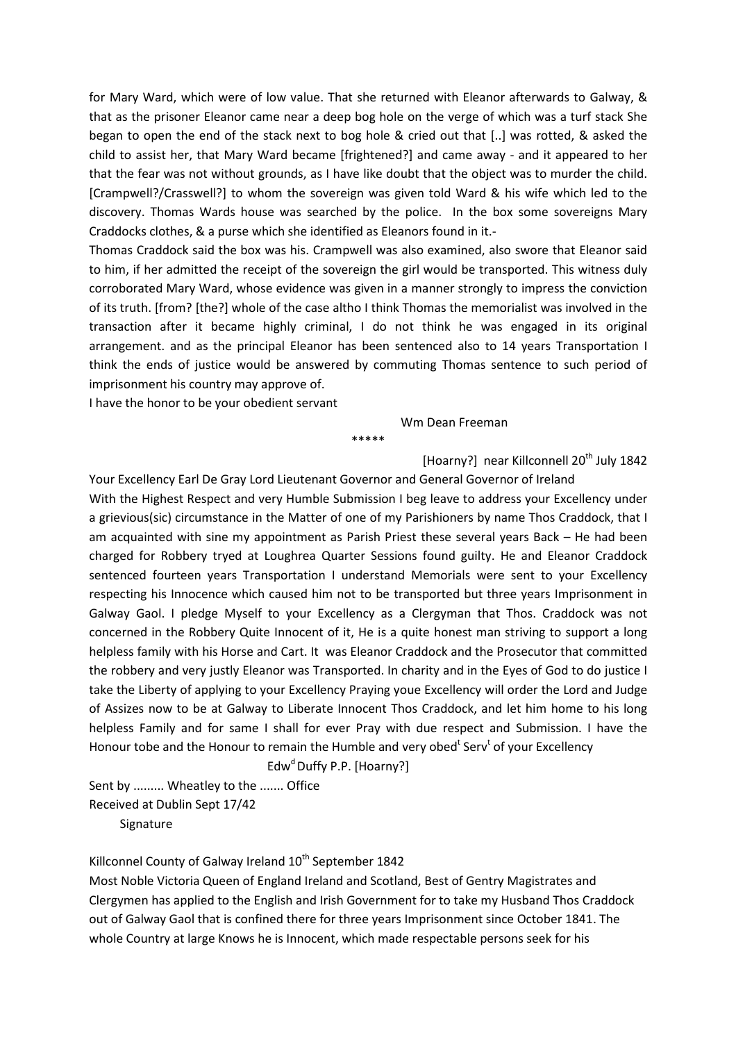for Mary Ward, which were of low value. That she returned with Eleanor afterwards to Galway, & that as the prisoner Eleanor came near a deep bog hole on the verge of which was a turf stack She began to open the end of the stack next to bog hole & cried out that [..] was rotted, & asked the child to assist her, that Mary Ward became [frightened?] and came away - and it appeared to her that the fear was not without grounds, as I have like doubt that the object was to murder the child. [Crampwell?/Crasswell?] to whom the sovereign was given told Ward & his wife which led to the discovery. Thomas Wards house was searched by the police. In the box some sovereigns Mary Craddocks clothes, & a purse which she identified as Eleanors found in it.-

Thomas Craddock said the box was his. Crampwell was also examined, also swore that Eleanor said to him, if her admitted the receipt of the sovereign the girl would be transported. This witness duly corroborated Mary Ward, whose evidence was given in a manner strongly to impress the conviction of its truth. [from? [the?] whole of the case altho I think Thomas the memorialist was involved in the transaction after it became highly criminal, I do not think he was engaged in its original arrangement. and as the principal Eleanor has been sentenced also to 14 years Transportation I think the ends of justice would be answered by commuting Thomas sentence to such period of imprisonment his country may approve of.

\*\*\*\*\*

I have the honor to be your obedient servant

Wm Dean Freeman

[Hoarny?] near Killconnell 20<sup>th</sup> July 1842

Your Excellency Earl De Gray Lord Lieutenant Governor and General Governor of Ireland With the Highest Respect and very Humble Submission I beg leave to address your Excellency under a grievious(sic) circumstance in the Matter of one of my Parishioners by name Thos Craddock, that I am acquainted with sine my appointment as Parish Priest these several years Back – He had been charged for Robbery tryed at Loughrea Quarter Sessions found guilty. He and Eleanor Craddock sentenced fourteen years Transportation I understand Memorials were sent to your Excellency respecting his Innocence which caused him not to be transported but three years Imprisonment in Galway Gaol. I pledge Myself to your Excellency as a Clergyman that Thos. Craddock was not concerned in the Robbery Quite Innocent of it, He is a quite honest man striving to support a long helpless family with his Horse and Cart. It was Eleanor Craddock and the Prosecutor that committed the robbery and very justly Eleanor was Transported. In charity and in the Eyes of God to do justice I take the Liberty of applying to your Excellency Praying youe Excellency will order the Lord and Judge of Assizes now to be at Galway to Liberate Innocent Thos Craddock, and let him home to his long helpless Family and for same I shall for ever Pray with due respect and Submission. I have the Honour tobe and the Honour to remain the Humble and very obed<sup>t</sup> Serv<sup>t</sup> of your Excellency

Edw<sup>d</sup> Duffy P.P. [Hoarny?]

Sent by ......... Wheatley to the ....... Office Received at Dublin Sept 17/42 **Signature** 

Killconnel County of Galway Ireland 10<sup>th</sup> September 1842

Most Noble Victoria Queen of England Ireland and Scotland, Best of Gentry Magistrates and Clergymen has applied to the English and Irish Government for to take my Husband Thos Craddock out of Galway Gaol that is confined there for three years Imprisonment since October 1841. The whole Country at large Knows he is Innocent, which made respectable persons seek for his